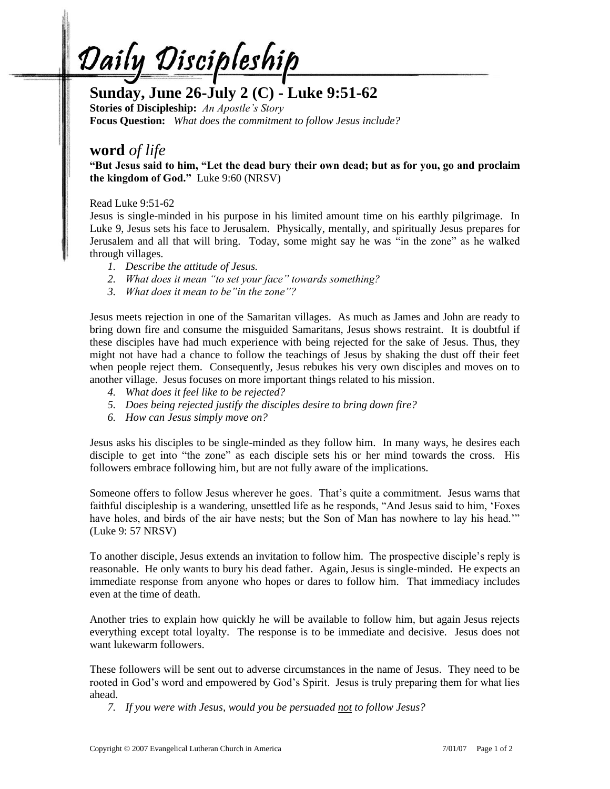<u>Daily Discipleship</u>

# **Sunday, June 26-July 2 (C) - Luke 9:51-62**

**Stories of Discipleship:** *An Apostle's Story* **Focus Question:** *What does the commitment to follow Jesus include?*

## **word** *of life*

**"But Jesus said to him, "Let the dead bury their own dead; but as for you, go and proclaim the kingdom of God."** Luke 9:60 (NRSV)

### Read Luke 9:51-62

Jesus is single-minded in his purpose in his limited amount time on his earthly pilgrimage. In Luke 9, Jesus sets his face to Jerusalem. Physically, mentally, and spiritually Jesus prepares for Jerusalem and all that will bring. Today, some might say he was "in the zone" as he walked through villages.

- *1. Describe the attitude of Jesus.*
- *2. What does it mean "to set your face" towards something?*
- *3. What does it mean to be"in the zone"?*

Jesus meets rejection in one of the Samaritan villages. As much as James and John are ready to bring down fire and consume the misguided Samaritans, Jesus shows restraint. It is doubtful if these disciples have had much experience with being rejected for the sake of Jesus. Thus, they might not have had a chance to follow the teachings of Jesus by shaking the dust off their feet when people reject them. Consequently, Jesus rebukes his very own disciples and moves on to another village. Jesus focuses on more important things related to his mission.

- *4. What does it feel like to be rejected?*
- *5. Does being rejected justify the disciples desire to bring down fire?*
- *6. How can Jesus simply move on?*

Jesus asks his disciples to be single-minded as they follow him. In many ways, he desires each disciple to get into "the zone" as each disciple sets his or her mind towards the cross. His followers embrace following him, but are not fully aware of the implications.

Someone offers to follow Jesus wherever he goes. That's quite a commitment. Jesus warns that faithful discipleship is a wandering, unsettled life as he responds, "And Jesus said to him, 'Foxes have holes, and birds of the air have nests; but the Son of Man has nowhere to lay his head.'" (Luke 9: 57 NRSV)

To another disciple, Jesus extends an invitation to follow him. The prospective disciple's reply is reasonable. He only wants to bury his dead father. Again, Jesus is single-minded. He expects an immediate response from anyone who hopes or dares to follow him. That immediacy includes even at the time of death.

Another tries to explain how quickly he will be available to follow him, but again Jesus rejects everything except total loyalty. The response is to be immediate and decisive. Jesus does not want lukewarm followers.

These followers will be sent out to adverse circumstances in the name of Jesus. They need to be rooted in God's word and empowered by God's Spirit. Jesus is truly preparing them for what lies ahead.

*7. If you were with Jesus, would you be persuaded not to follow Jesus?*